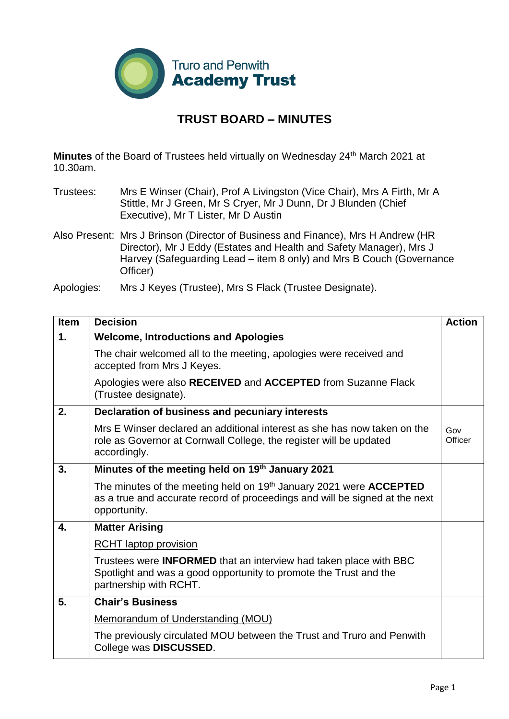

## **TRUST BOARD – MINUTES**

**Minutes** of the Board of Trustees held virtually on Wednesday 24<sup>th</sup> March 2021 at 10.30am.

- Trustees: Mrs E Winser (Chair), Prof A Livingston (Vice Chair), Mrs A Firth, Mr A Stittle, Mr J Green, Mr S Cryer, Mr J Dunn, Dr J Blunden (Chief Executive), Mr T Lister, Mr D Austin
- Also Present: Mrs J Brinson (Director of Business and Finance), Mrs H Andrew (HR Director), Mr J Eddy (Estates and Health and Safety Manager), Mrs J Harvey (Safeguarding Lead – item 8 only) and Mrs B Couch (Governance Officer)

| Apologies: |  | Mrs J Keyes (Trustee), Mrs S Flack (Trustee Designate). |  |
|------------|--|---------------------------------------------------------|--|

| <b>Item</b>   | <b>Decision</b>                                                                                                                                                            | <b>Action</b>  |
|---------------|----------------------------------------------------------------------------------------------------------------------------------------------------------------------------|----------------|
| $\mathbf 1$ . | <b>Welcome, Introductions and Apologies</b>                                                                                                                                |                |
|               | The chair welcomed all to the meeting, apologies were received and<br>accepted from Mrs J Keyes.                                                                           |                |
|               | Apologies were also RECEIVED and ACCEPTED from Suzanne Flack<br>(Trustee designate).                                                                                       |                |
| 2.            | Declaration of business and pecuniary interests                                                                                                                            |                |
|               | Mrs E Winser declared an additional interest as she has now taken on the<br>role as Governor at Cornwall College, the register will be updated<br>accordingly.             | Gov<br>Officer |
| 3.            | Minutes of the meeting held on 19th January 2021                                                                                                                           |                |
|               | The minutes of the meeting held on $19th$ January 2021 were <b>ACCEPTED</b><br>as a true and accurate record of proceedings and will be signed at the next<br>opportunity. |                |
| 4.            | <b>Matter Arising</b>                                                                                                                                                      |                |
|               | <b>RCHT</b> laptop provision                                                                                                                                               |                |
|               | Trustees were <b>INFORMED</b> that an interview had taken place with BBC<br>Spotlight and was a good opportunity to promote the Trust and the<br>partnership with RCHT.    |                |
| 5.            | <b>Chair's Business</b>                                                                                                                                                    |                |
|               | Memorandum of Understanding (MOU)                                                                                                                                          |                |
|               | The previously circulated MOU between the Trust and Truro and Penwith<br>College was DISCUSSED.                                                                            |                |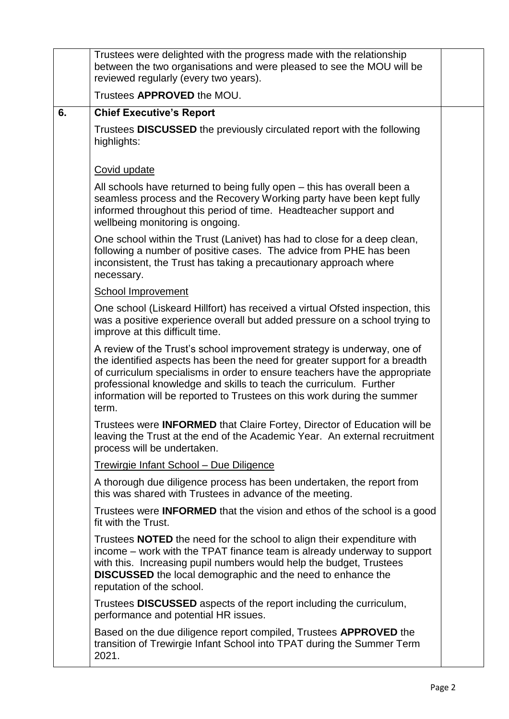|    | Trustees were delighted with the progress made with the relationship<br>between the two organisations and were pleased to see the MOU will be<br>reviewed regularly (every two years).                                                                                                                                                                                                        |  |
|----|-----------------------------------------------------------------------------------------------------------------------------------------------------------------------------------------------------------------------------------------------------------------------------------------------------------------------------------------------------------------------------------------------|--|
|    | Trustees APPROVED the MOU.                                                                                                                                                                                                                                                                                                                                                                    |  |
| 6. | <b>Chief Executive's Report</b>                                                                                                                                                                                                                                                                                                                                                               |  |
|    | Trustees DISCUSSED the previously circulated report with the following<br>highlights:                                                                                                                                                                                                                                                                                                         |  |
|    | Covid update                                                                                                                                                                                                                                                                                                                                                                                  |  |
|    | All schools have returned to being fully open – this has overall been a<br>seamless process and the Recovery Working party have been kept fully<br>informed throughout this period of time. Headteacher support and<br>wellbeing monitoring is ongoing.                                                                                                                                       |  |
|    | One school within the Trust (Lanivet) has had to close for a deep clean,<br>following a number of positive cases. The advice from PHE has been<br>inconsistent, the Trust has taking a precautionary approach where<br>necessary.                                                                                                                                                             |  |
|    | <b>School Improvement</b>                                                                                                                                                                                                                                                                                                                                                                     |  |
|    | One school (Liskeard Hillfort) has received a virtual Ofsted inspection, this<br>was a positive experience overall but added pressure on a school trying to<br>improve at this difficult time.                                                                                                                                                                                                |  |
|    | A review of the Trust's school improvement strategy is underway, one of<br>the identified aspects has been the need for greater support for a breadth<br>of curriculum specialisms in order to ensure teachers have the appropriate<br>professional knowledge and skills to teach the curriculum. Further<br>information will be reported to Trustees on this work during the summer<br>term. |  |
|    | Trustees were <b>INFORMED</b> that Claire Fortey, Director of Education will be<br>leaving the Trust at the end of the Academic Year. An external recruitment<br>process will be undertaken.                                                                                                                                                                                                  |  |
|    | Trewirgie Infant School - Due Diligence                                                                                                                                                                                                                                                                                                                                                       |  |
|    | A thorough due diligence process has been undertaken, the report from<br>this was shared with Trustees in advance of the meeting.                                                                                                                                                                                                                                                             |  |
|    | Trustees were <b>INFORMED</b> that the vision and ethos of the school is a good<br>fit with the Trust.                                                                                                                                                                                                                                                                                        |  |
|    | Trustees <b>NOTED</b> the need for the school to align their expenditure with<br>income – work with the TPAT finance team is already underway to support<br>with this. Increasing pupil numbers would help the budget, Trustees<br><b>DISCUSSED</b> the local demographic and the need to enhance the<br>reputation of the school.                                                            |  |
|    | Trustees <b>DISCUSSED</b> aspects of the report including the curriculum,<br>performance and potential HR issues.                                                                                                                                                                                                                                                                             |  |
|    | Based on the due diligence report compiled, Trustees APPROVED the<br>transition of Trewirgie Infant School into TPAT during the Summer Term<br>2021.                                                                                                                                                                                                                                          |  |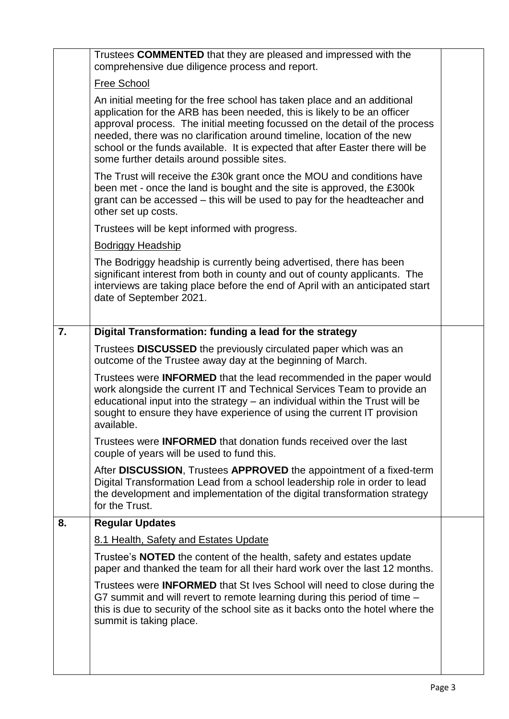|    | Trustees COMMENTED that they are pleased and impressed with the<br>comprehensive due diligence process and report.                                                                                                                                                                                                                                                                                                                             |  |
|----|------------------------------------------------------------------------------------------------------------------------------------------------------------------------------------------------------------------------------------------------------------------------------------------------------------------------------------------------------------------------------------------------------------------------------------------------|--|
|    | <b>Free School</b>                                                                                                                                                                                                                                                                                                                                                                                                                             |  |
|    | An initial meeting for the free school has taken place and an additional<br>application for the ARB has been needed, this is likely to be an officer<br>approval process. The initial meeting focussed on the detail of the process<br>needed, there was no clarification around timeline, location of the new<br>school or the funds available. It is expected that after Easter there will be<br>some further details around possible sites. |  |
|    | The Trust will receive the £30k grant once the MOU and conditions have<br>been met - once the land is bought and the site is approved, the £300k<br>grant can be accessed – this will be used to pay for the headteacher and<br>other set up costs.                                                                                                                                                                                            |  |
|    | Trustees will be kept informed with progress.                                                                                                                                                                                                                                                                                                                                                                                                  |  |
|    | <b>Bodriggy Headship</b>                                                                                                                                                                                                                                                                                                                                                                                                                       |  |
|    | The Bodriggy headship is currently being advertised, there has been<br>significant interest from both in county and out of county applicants. The<br>interviews are taking place before the end of April with an anticipated start<br>date of September 2021.                                                                                                                                                                                  |  |
| 7. | Digital Transformation: funding a lead for the strategy                                                                                                                                                                                                                                                                                                                                                                                        |  |
|    | Trustees <b>DISCUSSED</b> the previously circulated paper which was an<br>outcome of the Trustee away day at the beginning of March.                                                                                                                                                                                                                                                                                                           |  |
|    | Trustees were <b>INFORMED</b> that the lead recommended in the paper would<br>work alongside the current IT and Technical Services Team to provide an<br>educational input into the strategy $-$ an individual within the Trust will be<br>sought to ensure they have experience of using the current IT provision<br>available.                                                                                                               |  |
|    | Trustees were <b>INFORMED</b> that donation funds received over the last<br>couple of years will be used to fund this.                                                                                                                                                                                                                                                                                                                         |  |
|    | After DISCUSSION, Trustees APPROVED the appointment of a fixed-term<br>Digital Transformation Lead from a school leadership role in order to lead<br>the development and implementation of the digital transformation strategy<br>for the Trust.                                                                                                                                                                                               |  |
| 8. | <b>Regular Updates</b>                                                                                                                                                                                                                                                                                                                                                                                                                         |  |
|    | 8.1 Health, Safety and Estates Update                                                                                                                                                                                                                                                                                                                                                                                                          |  |
|    | Trustee's <b>NOTED</b> the content of the health, safety and estates update<br>paper and thanked the team for all their hard work over the last 12 months.                                                                                                                                                                                                                                                                                     |  |
|    | Trustees were <b>INFORMED</b> that St Ives School will need to close during the<br>G7 summit and will revert to remote learning during this period of time -<br>this is due to security of the school site as it backs onto the hotel where the<br>summit is taking place.                                                                                                                                                                     |  |
|    |                                                                                                                                                                                                                                                                                                                                                                                                                                                |  |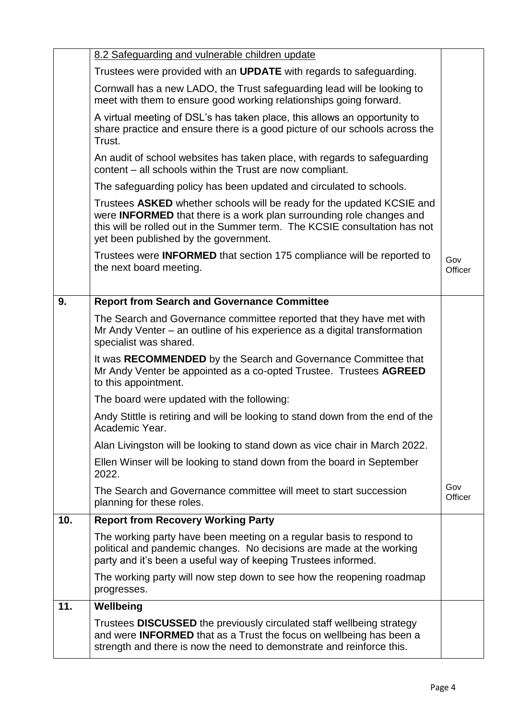|     | 8.2 Safeguarding and vulnerable children update                                                                                                                                                                                                                              |                |
|-----|------------------------------------------------------------------------------------------------------------------------------------------------------------------------------------------------------------------------------------------------------------------------------|----------------|
|     | Trustees were provided with an <b>UPDATE</b> with regards to safeguarding.                                                                                                                                                                                                   |                |
|     | Cornwall has a new LADO, the Trust safeguarding lead will be looking to<br>meet with them to ensure good working relationships going forward.                                                                                                                                |                |
|     | A virtual meeting of DSL's has taken place, this allows an opportunity to<br>share practice and ensure there is a good picture of our schools across the<br>Trust.                                                                                                           |                |
|     | An audit of school websites has taken place, with regards to safeguarding<br>content – all schools within the Trust are now compliant.                                                                                                                                       |                |
|     | The safeguarding policy has been updated and circulated to schools.                                                                                                                                                                                                          |                |
|     | Trustees ASKED whether schools will be ready for the updated KCSIE and<br>were <b>INFORMED</b> that there is a work plan surrounding role changes and<br>this will be rolled out in the Summer term. The KCSIE consultation has not<br>yet been published by the government. |                |
|     | Trustees were <b>INFORMED</b> that section 175 compliance will be reported to<br>the next board meeting.                                                                                                                                                                     | Gov<br>Officer |
| 9.  | <b>Report from Search and Governance Committee</b>                                                                                                                                                                                                                           |                |
|     | The Search and Governance committee reported that they have met with<br>Mr Andy Venter – an outline of his experience as a digital transformation<br>specialist was shared.                                                                                                  |                |
|     | It was RECOMMENDED by the Search and Governance Committee that<br>Mr Andy Venter be appointed as a co-opted Trustee. Trustees AGREED<br>to this appointment.                                                                                                                 |                |
|     | The board were updated with the following:                                                                                                                                                                                                                                   |                |
|     | Andy Stittle is retiring and will be looking to stand down from the end of the<br>Academic Year.                                                                                                                                                                             |                |
|     | Alan Livingston will be looking to stand down as vice chair in March 2022.                                                                                                                                                                                                   |                |
|     | Ellen Winser will be looking to stand down from the board in September<br>2022.                                                                                                                                                                                              |                |
|     | The Search and Governance committee will meet to start succession<br>planning for these roles.                                                                                                                                                                               | Gov<br>Officer |
| 10. | <b>Report from Recovery Working Party</b>                                                                                                                                                                                                                                    |                |
|     | The working party have been meeting on a regular basis to respond to<br>political and pandemic changes. No decisions are made at the working<br>party and it's been a useful way of keeping Trustees informed.                                                               |                |
|     | The working party will now step down to see how the reopening roadmap<br>progresses.                                                                                                                                                                                         |                |
| 11. | Wellbeing                                                                                                                                                                                                                                                                    |                |
|     | Trustees <b>DISCUSSED</b> the previously circulated staff wellbeing strategy<br>and were <b>INFORMED</b> that as a Trust the focus on wellbeing has been a<br>strength and there is now the need to demonstrate and reinforce this.                                          |                |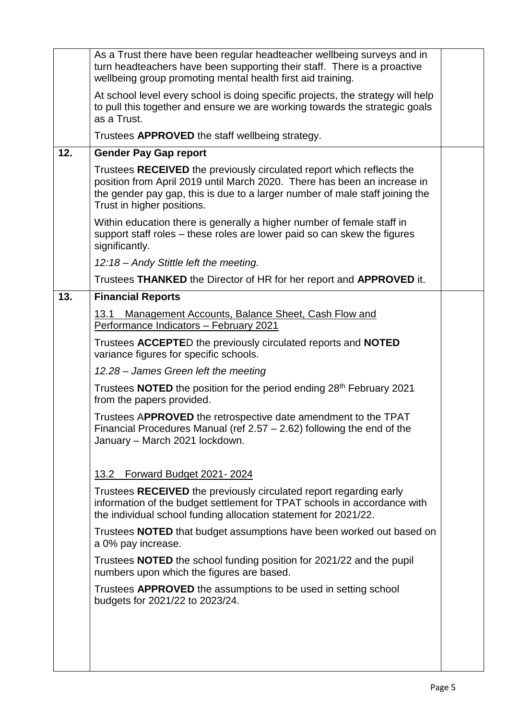|     | As a Trust there have been regular headteacher wellbeing surveys and in<br>turn headteachers have been supporting their staff. There is a proactive<br>wellbeing group promoting mental health first aid training.                                              |  |
|-----|-----------------------------------------------------------------------------------------------------------------------------------------------------------------------------------------------------------------------------------------------------------------|--|
|     | At school level every school is doing specific projects, the strategy will help<br>to pull this together and ensure we are working towards the strategic goals<br>as a Trust.                                                                                   |  |
|     | Trustees APPROVED the staff wellbeing strategy.                                                                                                                                                                                                                 |  |
| 12. | <b>Gender Pay Gap report</b>                                                                                                                                                                                                                                    |  |
|     | Trustees RECEIVED the previously circulated report which reflects the<br>position from April 2019 until March 2020. There has been an increase in<br>the gender pay gap, this is due to a larger number of male staff joining the<br>Trust in higher positions. |  |
|     | Within education there is generally a higher number of female staff in<br>support staff roles – these roles are lower paid so can skew the figures<br>significantly.                                                                                            |  |
|     | 12:18 - Andy Stittle left the meeting.                                                                                                                                                                                                                          |  |
|     | Trustees THANKED the Director of HR for her report and APPROVED it.                                                                                                                                                                                             |  |
| 13. | <b>Financial Reports</b>                                                                                                                                                                                                                                        |  |
|     | <b>Management Accounts, Balance Sheet, Cash Flow and</b><br>13.1<br>Performance Indicators - February 2021                                                                                                                                                      |  |
|     | Trustees ACCEPTED the previously circulated reports and NOTED<br>variance figures for specific schools.                                                                                                                                                         |  |
|     | 12.28 - James Green left the meeting                                                                                                                                                                                                                            |  |
|     | Trustees <b>NOTED</b> the position for the period ending 28 <sup>th</sup> February 2021<br>from the papers provided.                                                                                                                                            |  |
|     | Trustees APPROVED the retrospective date amendment to the TPAT<br>Financial Procedures Manual (ref $2.57 - 2.62$ ) following the end of the<br>January - March 2021 lockdown.                                                                                   |  |
|     | Forward Budget 2021-2024<br>13.2                                                                                                                                                                                                                                |  |
|     | Trustees RECEIVED the previously circulated report regarding early<br>information of the budget settlement for TPAT schools in accordance with<br>the individual school funding allocation statement for 2021/22.                                               |  |
|     | Trustees <b>NOTED</b> that budget assumptions have been worked out based on<br>a 0% pay increase.                                                                                                                                                               |  |
|     | Trustees <b>NOTED</b> the school funding position for 2021/22 and the pupil<br>numbers upon which the figures are based.                                                                                                                                        |  |
|     | Trustees APPROVED the assumptions to be used in setting school<br>budgets for 2021/22 to 2023/24.                                                                                                                                                               |  |
|     |                                                                                                                                                                                                                                                                 |  |
|     |                                                                                                                                                                                                                                                                 |  |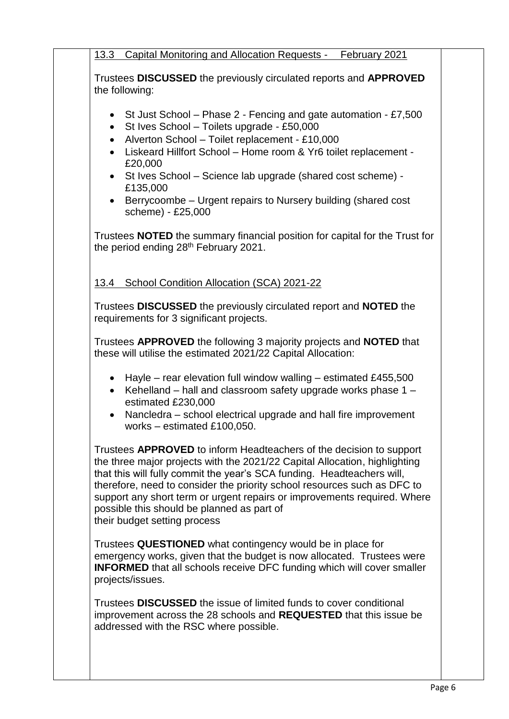|                                                  | Capital Monitoring and Allocation Requests - February 2021<br>13.3                                                                                                                                                                                                                                                                                                                                                                                                                                                                                          |
|--------------------------------------------------|-------------------------------------------------------------------------------------------------------------------------------------------------------------------------------------------------------------------------------------------------------------------------------------------------------------------------------------------------------------------------------------------------------------------------------------------------------------------------------------------------------------------------------------------------------------|
|                                                  | Trustees DISCUSSED the previously circulated reports and APPROVED<br>the following:                                                                                                                                                                                                                                                                                                                                                                                                                                                                         |
| $\bullet$<br>$\bullet$<br>$\bullet$<br>$\bullet$ | • St Just School – Phase 2 - Fencing and gate automation - £7,500<br>St Ives School - Toilets upgrade - £50,000<br>Alverton School - Toilet replacement - £10,000<br>Liskeard Hillfort School - Home room & Yr6 toilet replacement -<br>£20,000<br>St Ives School - Science lab upgrade (shared cost scheme) -<br>£135,000<br>Berrycoombe – Urgent repairs to Nursery building (shared cost<br>scheme) - £25,000<br>Trustees <b>NOTED</b> the summary financial position for capital for the Trust for<br>the period ending 28 <sup>th</sup> February 2021. |
|                                                  | 13.4 School Condition Allocation (SCA) 2021-22                                                                                                                                                                                                                                                                                                                                                                                                                                                                                                              |
|                                                  | Trustees DISCUSSED the previously circulated report and NOTED the<br>requirements for 3 significant projects.                                                                                                                                                                                                                                                                                                                                                                                                                                               |
|                                                  | Trustees APPROVED the following 3 majority projects and NOTED that<br>these will utilise the estimated 2021/22 Capital Allocation:                                                                                                                                                                                                                                                                                                                                                                                                                          |
| $\bullet$<br>$\bullet$                           | • Hayle – rear elevation full window walling – estimated £455,500<br>Kehelland - hall and classroom safety upgrade works phase 1 -<br>estimated £230,000<br>Nancledra – school electrical upgrade and hall fire improvement<br>works – estimated £100,050.                                                                                                                                                                                                                                                                                                  |
|                                                  | Trustees APPROVED to inform Headteachers of the decision to support<br>the three major projects with the 2021/22 Capital Allocation, highlighting<br>that this will fully commit the year's SCA funding. Headteachers will,<br>therefore, need to consider the priority school resources such as DFC to<br>support any short term or urgent repairs or improvements required. Where<br>possible this should be planned as part of<br>their budget setting process                                                                                           |
|                                                  | Trustees QUESTIONED what contingency would be in place for<br>emergency works, given that the budget is now allocated. Trustees were<br><b>INFORMED</b> that all schools receive DFC funding which will cover smaller<br>projects/issues.                                                                                                                                                                                                                                                                                                                   |
|                                                  | Trustees DISCUSSED the issue of limited funds to cover conditional                                                                                                                                                                                                                                                                                                                                                                                                                                                                                          |